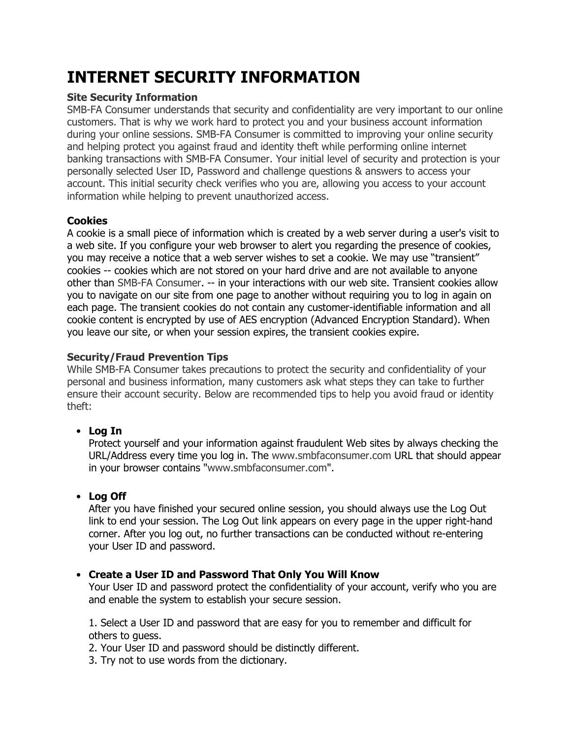# **INTERNET SECURITY INFORMATION**

## **Site Security Information**

SMB-FA Consumer understands that security and confidentiality are very important to our online customers. That is why we work hard to protect you and your business account information during your online sessions. SMB-FA Consumer is committed to improving your online security and helping protect you against fraud and identity theft while performing online internet banking transactions with SMB-FA Consumer. Your initial level of security and protection is your personally selected User ID, Password and challenge questions & answers to access your account. This initial security check verifies who you are, allowing you access to your account information while helping to prevent unauthorized access.

## **Cookies**

A cookie is a small piece of information which is created by a web server during a user's visit to a web site. If you configure your web browser to alert you regarding the presence of cookies, you may receive a notice that a web server wishes to set a cookie. We may use "transient" cookies -- cookies which are not stored on your hard drive and are not available to anyone other than SMB-FA Consumer. -- in your interactions with our web site. Transient cookies allow you to navigate on our site from one page to another without requiring you to log in again on each page. The transient cookies do not contain any customer-identifiable information and all cookie content is encrypted by use of AES encryption (Advanced Encryption Standard). When you leave our site, or when your session expires, the transient cookies expire.

### **Security/Fraud Prevention Tips**

While SMB-FA Consumer takes precautions to protect the security and confidentiality of your personal and business information, many customers ask what steps they can take to further ensure their account security. Below are recommended tips to help you avoid fraud or identity theft:

# • **Log In**

Protect yourself and your information against fraudulent Web sites by always checking the URL/Address every time you log in. The www.smbfaconsumer.com URL that should appear in your browser contains "www.smbfaconsumer.com".

# • **Log Off**

After you have finished your secured online session, you should always use the Log Out link to end your session. The Log Out link appears on every page in the upper right-hand corner. After you log out, no further transactions can be conducted without re-entering your User ID and password.

# • **Create a User ID and Password That Only You Will Know**

Your User ID and password protect the confidentiality of your account, verify who you are and enable the system to establish your secure session.

1. Select a User ID and password that are easy for you to remember and difficult for others to guess.

2. Your User ID and password should be distinctly different.

3. Try not to use words from the dictionary.